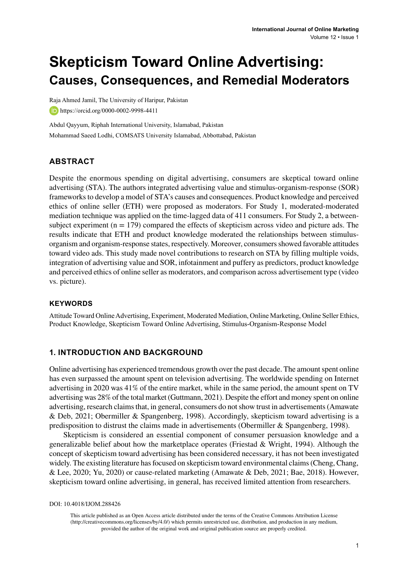# **Skepticism Toward Online Advertising: Causes, Consequences, and Remedial Moderators**

Raja Ahmed Jamil, The University of Haripur, Pakistan **iD** https://orcid.org/0000-0002-9998-4411

Abdul Qayyum, Riphah International University, Islamabad, Pakistan Mohammad Saeed Lodhi, COMSATS University Islamabad, Abbottabad, Pakistan

### **ABSTRACT**

Despite the enormous spending on digital advertising, consumers are skeptical toward online advertising (STA). The authors integrated advertising value and stimulus-organism-response (SOR) frameworks to develop a model of STA's causes and consequences. Product knowledge and perceived ethics of online seller (ETH) were proposed as moderators. For Study 1, moderated-moderated mediation technique was applied on the time-lagged data of 411 consumers. For Study 2, a betweensubject experiment ( $n = 179$ ) compared the effects of skepticism across video and picture ads. The results indicate that ETH and product knowledge moderated the relationships between stimulusorganism and organism-response states, respectively. Moreover, consumers showed favorable attitudes toward video ads. This study made novel contributions to research on STA by filling multiple voids, integration of advertising value and SOR, infotainment and puffery as predictors, product knowledge and perceived ethics of online seller as moderators, and comparison across advertisement type (video vs. picture).

#### **Keywords**

Attitude Toward Online Advertising, Experiment, Moderated Mediation, Online Marketing, Online Seller Ethics, Product Knowledge, Skepticism Toward Online Advertising, Stimulus-Organism-Response Model

#### **1. INTRODUCTION AND BACKGROUND**

Online advertising has experienced tremendous growth over the past decade. The amount spent online has even surpassed the amount spent on television advertising. The worldwide spending on Internet advertising in 2020 was 41% of the entire market, while in the same period, the amount spent on TV advertising was 28% of the total market (Guttmann, 2021). Despite the effort and money spent on online advertising, research claims that, in general, consumers do not show trust in advertisements (Amawate & Deb, 2021; Obermiller & Spangenberg, 1998). Accordingly, skepticism toward advertising is a predisposition to distrust the claims made in advertisements (Obermiller & Spangenberg, 1998).

Skepticism is considered an essential component of consumer persuasion knowledge and a generalizable belief about how the marketplace operates (Friestad & Wright, 1994). Although the concept of skepticism toward advertising has been considered necessary, it has not been investigated widely. The existing literature has focused on skepticism toward environmental claims (Cheng, Chang, & Lee, 2020; Yu, 2020) or cause-related marketing (Amawate & Deb, 2021; Bae, 2018). However, skepticism toward online advertising, in general, has received limited attention from researchers.

DOI: 10.4018/IJOM.288426

This article published as an Open Access article distributed under the terms of the Creative Commons Attribution License (http://creativecommons.org/licenses/by/4.0/) which permits unrestricted use, distribution, and production in any medium, provided the author of the original work and original publication source are properly credited.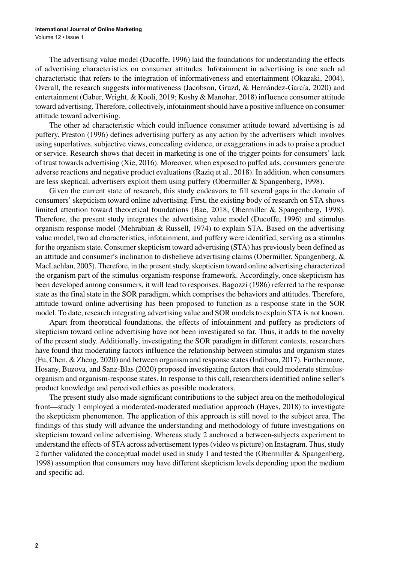The advertising value model (Ducoffe, 1996) laid the foundations for understanding the effects of advertising characteristics on consumer attitudes. Infotainment in advertising is one such ad characteristic that refers to the integration of informativeness and entertainment (Okazaki, 2004). Overall, the research suggests informativeness (Jacobson, Gruzd, & Hernández-García, 2020) and entertainment (Gaber, Wright, & Kooli, 2019; Koshy & Manohar, 2018) influence consumer attitude toward advertising. Therefore, collectively, infotainment should have a positive influence on consumer attitude toward advertising.

The other ad characteristic which could influence consumer attitude toward advertising is ad puffery. Preston (1996) defines advertising puffery as any action by the advertisers which involves using superlatives, subjective views, concealing evidence, or exaggerations in ads to praise a product or service. Research shows that deceit in marketing is one of the trigger points for consumers' lack of trust towards advertising (Xie, 2016). Moreover, when exposed to puffed ads, consumers generate adverse reactions and negative product evaluations (Raziq et al., 2018). In addition, when consumers are less skeptical, advertisers exploit them using puffery (Obermiller & Spangenberg, 1998).

Given the current state of research, this study endeavors to fill several gaps in the domain of consumers' skepticism toward online advertising. First, the existing body of research on STA shows limited attention toward theoretical foundations (Bae, 2018; Obermiller & Spangenberg, 1998). Therefore, the present study integrates the advertising value model (Ducoffe, 1996) and stimulus organism response model (Mehrabian & Russell, 1974) to explain STA. Based on the advertising value model, two ad characteristics, infotainment, and puffery were identified, serving as a stimulus for the organism state. Consumer skepticism toward advertising (STA) has previously been defined as an attitude and consumer's inclination to disbelieve advertising claims (Obermiller, Spangenberg, & MacLachlan, 2005). Therefore, in the present study, skepticism toward online advertising characterized the organism part of the stimulus-organism-response framework. Accordingly, once skepticism has been developed among consumers, it will lead to responses. Bagozzi (1986) referred to the response state as the final state in the SOR paradigm, which comprises the behaviors and attitudes. Therefore, attitude toward online advertising has been proposed to function as a response state in the SOR model. To date, research integrating advertising value and SOR models to explain STA is not known.

Apart from theoretical foundations, the effects of infotainment and puffery as predictors of skepticism toward online advertising have not been investigated so far. Thus, it adds to the novelty of the present study. Additionally, investigating the SOR paradigm in different contexts, researchers have found that moderating factors influence the relationship between stimulus and organism states (Fu, Chen, & Zheng, 2020) and between organism and response states (Indibara, 2017). Furthermore, Hosany, Buzova, and Sanz-Blas (2020) proposed investigating factors that could moderate stimulusorganism and organism-response states. In response to this call, researchers identified online seller's product knowledge and perceived ethics as possible moderators.

The present study also made significant contributions to the subject area on the methodological front—study 1 employed a moderated-moderated mediation approach (Hayes, 2018) to investigate the skepticism phenomenon. The application of this approach is still novel to the subject area. The findings of this study will advance the understanding and methodology of future investigations on skepticism toward online advertising. Whereas study 2 anchored a between-subjects experiment to understand the effects of STA across advertisement types (video vs picture) on Instagram. Thus, study 2 further validated the conceptual model used in study 1 and tested the (Obermiller & Spangenberg, 1998) assumption that consumers may have different skepticism levels depending upon the medium and specific ad.